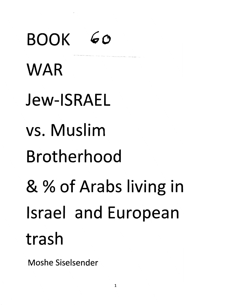# *BOOK 60 WAR Jew-ISRAEL vs. Muslim Brotherhood &% of Arabs living in Israel and European trash*

*Moshe Siselsender*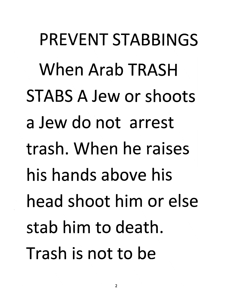*PREVENT STABBINGS When Arab TRASH STABS A Jew or shoots a Jew do not arrest trash. When he raises his hands above his head shoot him or else stab him to death. Trash is not to be*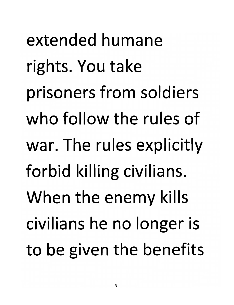extended humane rights. You take prisoners from soldiers who follow the rules of war. The rules explicitly forbid killing civilians. When the enemy kills civilians he no longer is to be given the benefits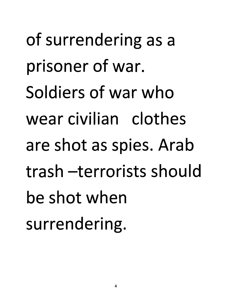of surrendering as a prisoner of war. Soldiers of war who wear civilian clothes are shot as spies. Arab trash -terrorists should be shot when surrendering.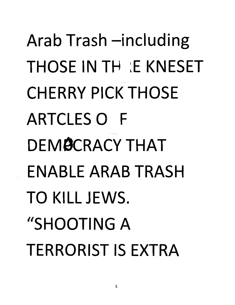#### *Arab Trash -including THOSE IN TH :E KNESET CHERRY PICK THOSE ARTCLESO F DEMOCRACY THAT ENABLE ARAB TRASH TO KILL JEWS. "SHOOTING A TERRORIST IS EXTRA*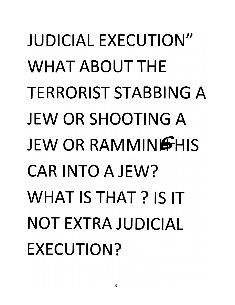## *JUDICIAL EXECUTION" WHAT ABOUT THE TERRORIST STABBING A JEW OR SHOOTING A* JEW OR RAMMINL<del>E</del>HIS *CAR INTO A JEW? WHAT IS THAT ? IS IT NOT EXTRA JUDICIAL EXECUTION?*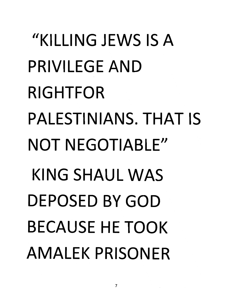*"KILLING JEWS IS A PRIVILEGE AND RIGHTFOR PALESTINIANS. THAT IS NOT NEGOTIABLE" KING SHAUL WAS DEPOSED BY GOD BECAUSE HE TOOK AMALEK PRISONER*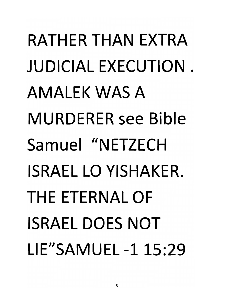*RATHER THAN EXTRA JUDICIAL EXECUTION . AMALEK WAS A MURDERER see Bible Samuel "NETZECH ISRAEL LO YISHAKER. THE ETERNAL OF ISRAEL DOES NOT UE"SAMUEL-115:29*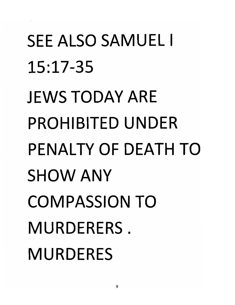## *SEE ALSO SAMUEL I 15:17-35 JEWS TODAY ARE PROHIBITED UNDER PENALTY OF DEATH TO SHOW ANY COMPASSION TO MURDERERS. MURDERES*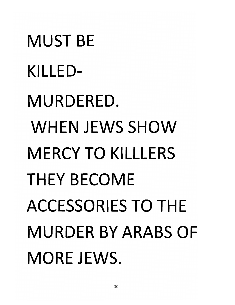# *MUST BE KILLED-MURDERED. WHEN JEWS SHOW MERCY TO KILLLERS THEY BECOME ACCESSORIES TO THE MURDER BY ARABS OF MORE JEWS.*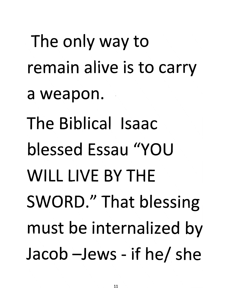*The only way to remain alive is to carry a weapon. The Biblical Isaac blessed Essau "YOU WILL LIVE BY THE SWORD." That blessing must be internalized by Jacob -Jews - if he/ she*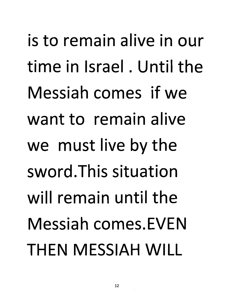is to remain alive in our time in Israel. Until the Messiah comes if we want to remain alive we must live by the sword.This situation will remain until the Messiah comes.EVEN THEN MESSIAH WILL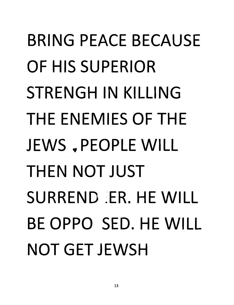## *BRING PEACE BECAUSE OF HIS SUPERIOR STRENGH IN KILLING THE ENEMIES OF THE JEWS, PEOPLE WILL THEN NOT JUST SURREND ER. HEWILL BE OPPO SED. HE WILL NOTGETJEWSH*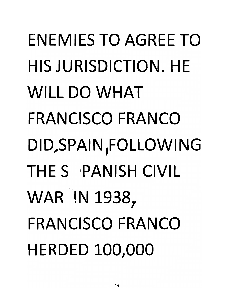*ENEMIES TO AGREE TO HIS JURISDICTION. HE WILL DO WHAT FRANCISCO FRANCO DID,SPAIN,FOLLOWING THES PANISH CIVIL WAR !N 1938, FRANCISCO FRANCO HERDED 100,000*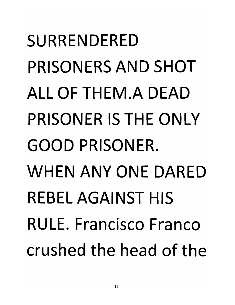## *SURRENDERED PRISONERS AND SHOT ALLOFTHEM.ADEAD PRISONER IS THE ONLY GOOD PRISONER. WHEN ANY ONE DARED REBEL AGAINST HIS RULE. Francisco Franco crushed the head of the*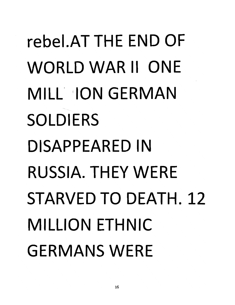*rebel.ATTHEENDOF WORLD WAR II ONE MILL ION GERMAN SOLDIERS DISAPPEARED IN RUSSIA. THEY WERE STARVED TO DEATH. 12 MILLION ETHNIC GERMANS WERE*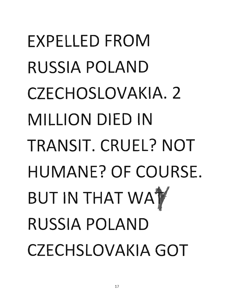*EXPELLED FROM RUSSIA POLAND CZECHOSLOVAKIA. 2 MILLION DIED IN TRANSIT. CRUEL? NOT HUMANE? OF COURSE BUT IN THAT WAy RUSSIA POLAND CZECHSLOVAKIA GOT*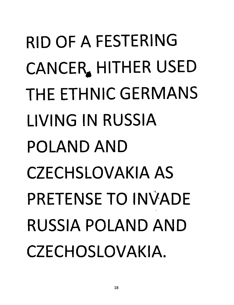### *RID OF A FESTERING CANCER, HITHER USED THE ETHNIC GERMANS LIVING IN RUSSIA POLAND AND CZECHSLOVAKIA AS PRETENSE TO INVADE RUSSIA POLAND AND CZECHOSLOVAKIA.*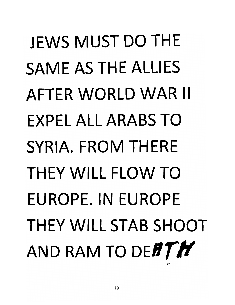*JEWS MUST DO THE SAME AS THE ALLIES AFTER WORLD WAR II EXPEL ALL ARABS TO SYRIA. FROM THERE THEY WILL FLOW TO EUROPE. IN EUROPE THEY WILL STAB SHOOT AND RAM TO DE0f/f*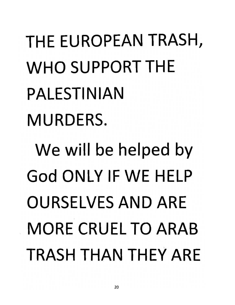#### *THE EUROPEAN TRASH, WHO SUPPORT THE PALESTINIAN MURDERS.*

*We will be helped by God ONLY IF WE HELP OURSELVES AND ARE MORE CRUEL TO ARAB TRASH THAN THEY ARE*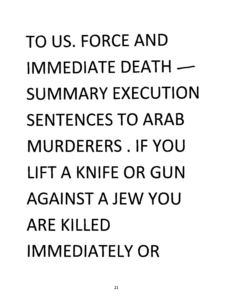## *TO US. FORCE AND IMMEDIATE DEATH SUMMARY EXECUTION SENTENCES TO ARAB MURDERERS. IF YOU LIFT A KNIFE OR GUN AGAINST A JEW YOU ARE KILLED IMMEDIATELY OR*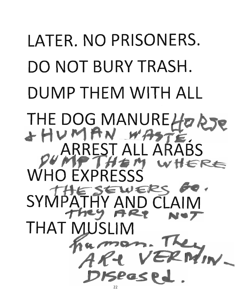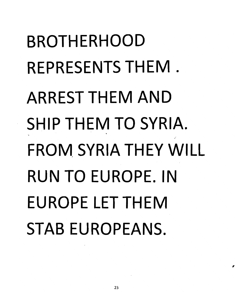## *BROTHERHOOD REPRESENTS THEM. ARREST THEM AND SHIP THEM TO SYRIA. FROM SYRIA THEY WILL RUN TO EUROPE. IN EUROPE LET THEM STAB EUROPEANS.*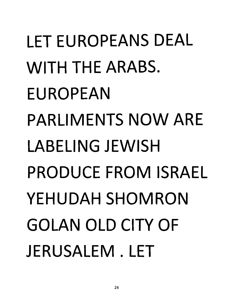#### *LET EUROPEANS DEAL WITH THE ARABS. EUROPEAN* **PARLIMENTS NOW ARE** *LABELING JEWISH PRODUCE FROM ISRAEL YEHUDAH SHOMRON GOLAN OLD CITY OF JERUSALEM . LET*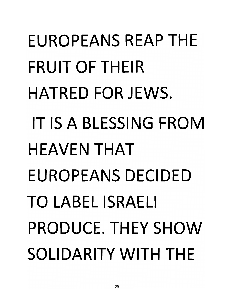*EUROPEANS REAP THE FRUIT OF THEIR HATRED FOR JEWS. IT IS A BLESSING FROM HEAVEN THAT EUROPEANS DECIDED TO LABEL ISRAELI PRODUCE. THEY SHOW SOLIDARITY WITH THE*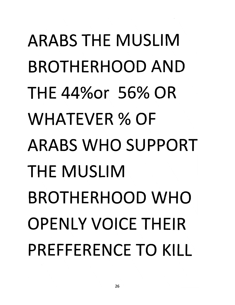*ARABS THE MUSLIM BROTHERHOOD AND THE 44%or 56% OR WHATEVER % OF ARABS WHO SUPPORT THE MUSLIM BROTHERHOOD WHO OPENLY VOICE THEIR PREFFERENCETOKILL*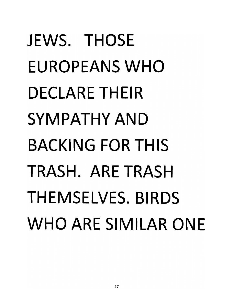#### *JEWS. THOSE EUROPEANS WHO DECLARE THEIR SYMPATHY AND BACKING FOR THIS TRASH. ARE TRASH THEMSELVES. BIRDS WHO ARE SIMILAR ONE*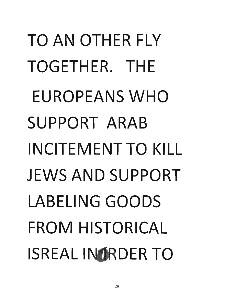*TO AN OTHER FLY TOGETHER. THE EUROPEANS WHO SUPPORT ARAB INCITEMENT TO KILL JEWS AND SUPPORT LABELING GOODS FROM HISTORICAL ISREAL INflRDER TO*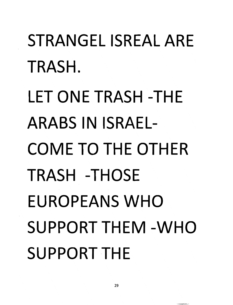## *STRANGELISREALARE TRASH. LET ONE TRASH-THE ARABS IN ISRAEL-COME TO THE OTHER TRASH -THOSE EUROPEANS WHO SUPPORT THEM-WHO SUPPORT THE*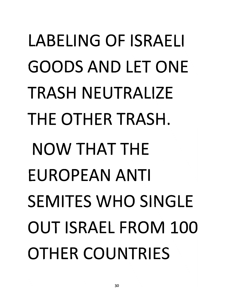*LABELING OF ISRAELI GOODS AND LET ONE TRASH NEUTRALIZE THE OTHER TRASH. NOW THAT THE EUROPEAN ANTI SEMITES WHO SINGLE OUT ISRAEL FROM 100 OTHER COUNTRIES*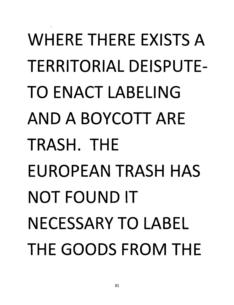## *WHERE THERE EXISTS A TERRITORIAL DEISPUTE-TO ENACT LABELING AND A BOYCOTT ARE TRASH. THE EUROPEAN TRASH HAS NOT FOUND IT NECESSARY TO LABEL THE GOODS FROM THE*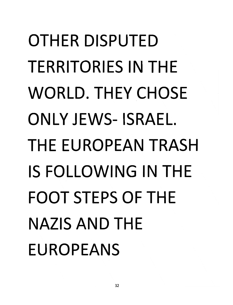## *OTHER DISPUTED TERRITORIES IN THE WORLD. THEY CHOSE ONLY JEWS-ISRAEL. THE EUROPEAN TRASH IS FOLLOWING IN THE FOOT STEPS OF THE NAZIS AND THE EUROPEANS*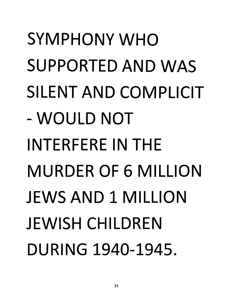## *SYMPHONY WHO SUPPORTED AND WAS SILENT AND COMPUCIT - WOULD NOT INTERFERE IN THE MURDER OF 6 MILLION JEWS AND 1 MILLION JEWISH CHILDREN DURING 1940-1945.*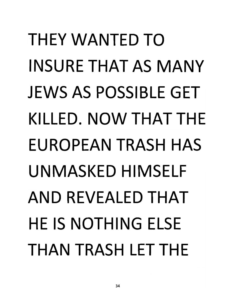## *THEY WANTED TO INSURE THAT AS MANY JEWS AS POSSIBLE GET KILLED. NOW THAT THE EUROPEAN TRASH HAS UNMASKED HIMSELF AND REVEALED THAT HE IS NOTHING ELSE THAN TRASH LET THE*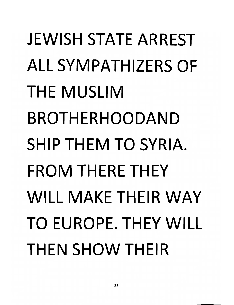## *JEWISH STATE ARREST ALL SYMPATHIZERS OF THE MUSLIM BROTHERHOODAND SHIP THEM TO SYRIA. FROM THERE THEY WILL MAKE THEIR WAY TO EUROPE. THEY WILL THEN SHOW THEIR*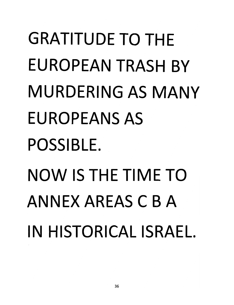# *GRATITUDE TO THE EUROPEAN TRASH BY MURDERING AS MANY EUROPEANS AS POSSIBLE. NOW IS THE TIME TO ANNEXAREASCBA IN HISTORICAL ISRAEL.*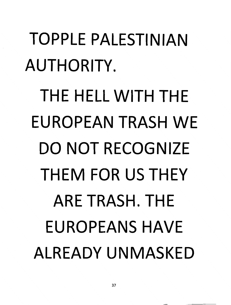## *TOPPLE PALESTINIAN AUTHORITY. THE HELL WITH THE EUROPEAN TRASH WE DO NOT RECOGNIZE THEM FOR US THEY ARE TRASH. THE EUROPEANS HAVE ALREADY UNMASKED*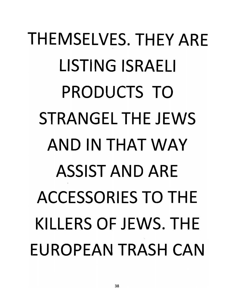## *THEMSELVES. THEY ARE LISTING ISRAELI PRODUCTS TO STRANGEL THE JEWS AND IN THAT WAY ASSIST AND ARE ACCESSORIES TO THE KILLERS OF JEWS. THE EUROPEAN TRASH CAN*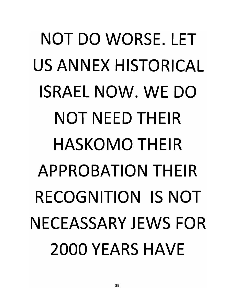#### *NOT DO WORSE. LET US ANNEX HISTORICAL ISRAEL NOW. WE DO NOT NEED THEIR HASKOMO THEIR APPROBATION THEIR RECOGNITION IS NOT NECEASSARY JEWS FOR 2000 YEARS HAVE*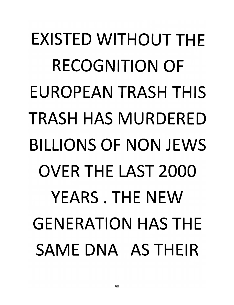## *EXISTED WITHOUT THE RECOGNITION OF EUROPEAN TRASH THIS TRASH HAS MURDERED BILLIONS OF NON JEWS OVER THE LAST 2000 YEARS. THE NEW GENERATION HAS THE SAMEDNA AS THEIR*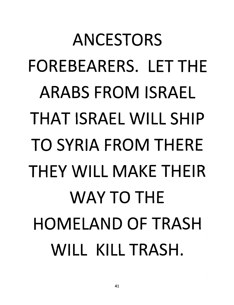## *ANCESTORS FOREBEARERS. LET THE ARABS FROM ISRAEL THAT ISRAEL WILL SHIP TO SYRIA FROM THERE THEY WILL MAKE THEIR WAY* TO THE *HOMELAND OF TRASH WILL KILL TRASH.*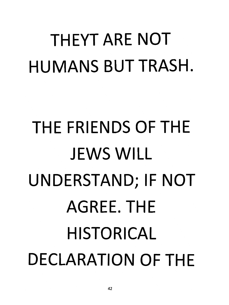#### **THEYT ARE NOT** *HUMANS BUT TRASH.*

#### *THE FRIENDS OF THE JEWS WILL UNDERSTAND; IF NOT AGREE. THE HISTORICAL DECLARATION OF THE*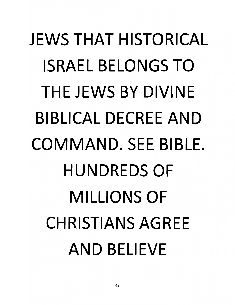#### *JEWS THAT HISTORICAL ISRAEL BELONGS TO THE JEWS BY DIVINE BIBLICAL DECREE AND COMMAND. SEE BIBLE. HUNDREDS OF MILLIONS OF CHRISTIANS AGREE AND BELIEVE*

Ń.